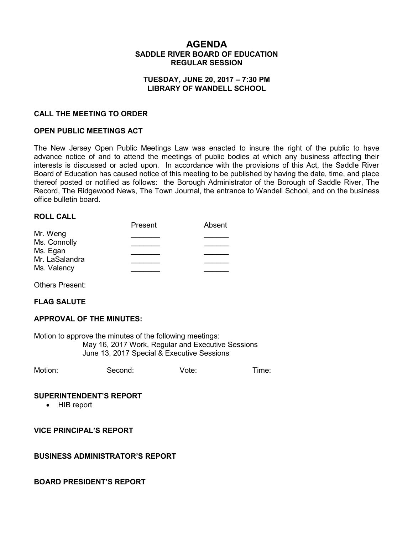# **AGENDA SADDLE RIVER BOARD OF EDUCATION REGULAR SESSION**

### **TUESDAY, JUNE 20, 2017 – 7:30 PM LIBRARY OF WANDELL SCHOOL**

### **CALL THE MEETING TO ORDER**

### **OPEN PUBLIC MEETINGS ACT**

The New Jersey Open Public Meetings Law was enacted to insure the right of the public to have advance notice of and to attend the meetings of public bodies at which any business affecting their interests is discussed or acted upon. In accordance with the provisions of this Act, the Saddle River Board of Education has caused notice of this meeting to be published by having the date, time, and place thereof posted or notified as follows: the Borough Administrator of the Borough of Saddle River, The Record, The Ridgewood News, The Town Journal, the entrance to Wandell School, and on the business office bulletin board.

#### **ROLL CALL**

|                               | Present | Absent |
|-------------------------------|---------|--------|
| Mr. Weng<br>Ms. Connolly      |         |        |
|                               |         |        |
| Ms. Egan                      |         |        |
| Mr. LaSalandra<br>Ms. Valency |         |        |
|                               |         |        |

Others Present:

#### **FLAG SALUTE**

#### **APPROVAL OF THE MINUTES:**

Motion to approve the minutes of the following meetings: May 16, 2017 Work, Regular and Executive Sessions June 13, 2017 Special & Executive Sessions

Motion: Second: Vote: Time:

#### **SUPERINTENDENT'S REPORT**

• HIB report

**VICE PRINCIPAL'S REPORT**

#### **BUSINESS ADMINISTRATOR'S REPORT**

#### **BOARD PRESIDENT'S REPORT**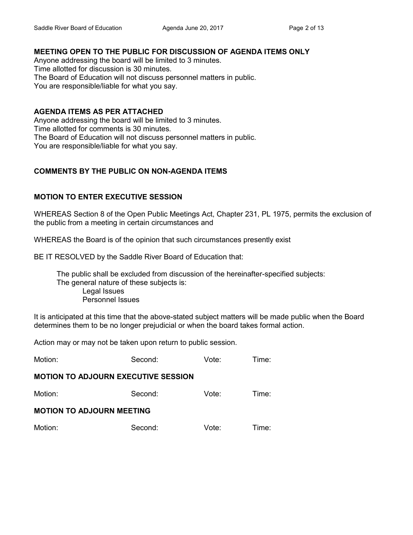# **MEETING OPEN TO THE PUBLIC FOR DISCUSSION OF AGENDA ITEMS ONLY**

Anyone addressing the board will be limited to 3 minutes. Time allotted for discussion is 30 minutes. The Board of Education will not discuss personnel matters in public. You are responsible/liable for what you say.

# **AGENDA ITEMS AS PER ATTACHED**

Anyone addressing the board will be limited to 3 minutes. Time allotted for comments is 30 minutes. The Board of Education will not discuss personnel matters in public. You are responsible/liable for what you say.

# **COMMENTS BY THE PUBLIC ON NON-AGENDA ITEMS**

# **MOTION TO ENTER EXECUTIVE SESSION**

WHEREAS Section 8 of the Open Public Meetings Act, Chapter 231, PL 1975, permits the exclusion of the public from a meeting in certain circumstances and

WHEREAS the Board is of the opinion that such circumstances presently exist

BE IT RESOLVED by the Saddle River Board of Education that:

 The public shall be excluded from discussion of the hereinafter-specified subjects: The general nature of these subjects is: Legal Issues Personnel Issues

It is anticipated at this time that the above-stated subject matters will be made public when the Board determines them to be no longer prejudicial or when the board takes formal action.

Action may or may not be taken upon return to public session.

| Motion: | Second: | Vote: | Time: |
|---------|---------|-------|-------|
|---------|---------|-------|-------|

# **MOTION TO ADJOURN EXECUTIVE SESSION**

| Motion:                          | Second: | Vote: | Time: |
|----------------------------------|---------|-------|-------|
| <b>MOTION TO ADJOURN MEETING</b> |         |       |       |
| Motion:                          | Second: | Vote: | Time: |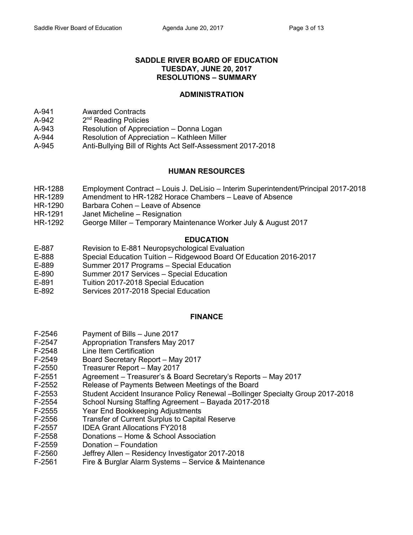### **SADDLE RIVER BOARD OF EDUCATION TUESDAY, JUNE 20, 2017 RESOLUTIONS – SUMMARY**

### **ADMINISTRATION**

- A-941 Awarded Contracts
- $A-942$ 2<sup>nd</sup> Reading Policies
- A-943 Resolution of Appreciation Donna Logan
- A-944 Resolution of Appreciation Kathleen Miller
- A-945 Anti-Bullying Bill of Rights Act Self-Assessment 2017-2018

## **HUMAN RESOURCES**

- HR-1288 Employment Contract Louis J. DeLisio Interim Superintendent/Principal 2017-2018
- HR-1289 Amendment to HR-1282 Horace Chambers Leave of Absence
- HR-1290 Barbara Cohen Leave of Absence
- HR-1291 Janet Micheline Resignation
- HR-1292 George Miller Temporary Maintenance Worker July & August 2017

## **EDUCATION**

- E-887 Revision to E-881 Neuropsychological Evaluation
- E-888 Special Education Tuition Ridgewood Board Of Education 2016-2017
- E-889 Summer 2017 Programs Special Education
- E-890 Summer 2017 Services Special Education
- E-891 Tuition 2017-2018 Special Education
- E-892 Services 2017-2018 Special Education

## **FINANCE**

- F-2546 Payment of Bills June 2017
- F-2547 Appropriation Transfers May 2017
- F-2548 Line Item Certification
- F-2549 Board Secretary Report May 2017
- F-2550 Treasurer Report May 2017
- F-2551 Agreement Treasurer's & Board Secretary's Reports May 2017
- F-2552 Release of Payments Between Meetings of the Board
- F-2553 Student Accident Insurance Policy Renewal –Bollinger Specialty Group 2017-2018
- F-2554 School Nursing Staffing Agreement Bayada 2017-2018
- F-2555 Year End Bookkeeping Adjustments
- F-2556 Transfer of Current Surplus to Capital Reserve
- F-2557 IDEA Grant Allocations FY2018
- F-2558 Donations Home & School Association
- F-2559 Donation Foundation
- F-2560 Jeffrey Allen Residency Investigator 2017-2018
- F-2561 Fire & Burglar Alarm Systems Service & Maintenance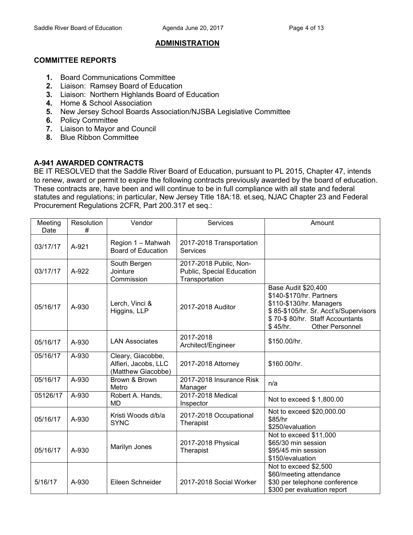### **ADMINISTRATION**

### **COMMITTEE REPORTS**

- **1.** Board Communications Committee
- **2.** Liaison: Ramsey Board of Education
- **3.** Liaison: Northern Highlands Board of Education
- **4.** Home & School Association
- **5.** New Jersey School Boards Association/NJSBA Legislative Committee
- **6.** Policy Committee
- **7.** Liaison to Mayor and Council
- **8.** Blue Ribbon Committee

## **A-941 AWARDED CONTRACTS**

BE IT RESOLVED that the Saddle River Board of Education, pursuant to PL 2015, Chapter 47, intends to renew, award or permit to expire the following contracts previously awarded by the board of education. These contracts are, have been and will continue to be in full compliance with all state and federal statutes and regulations; in particular, New Jersey Title 18A:18. et.seq, NJAC Chapter 23 and Federal Procurement Regulations 2CFR, Part 200.317 et seq.:

| Meeting<br>Date | Resolution<br># | Vendor                                                          | Services                                                              | Amount                                                                                                                                                                                               |
|-----------------|-----------------|-----------------------------------------------------------------|-----------------------------------------------------------------------|------------------------------------------------------------------------------------------------------------------------------------------------------------------------------------------------------|
| 03/17/17        | A-921           | Region 1 - Mahwah<br><b>Board of Education</b>                  | 2017-2018 Transportation<br>Services                                  |                                                                                                                                                                                                      |
| 03/17/17        | A-922           | South Bergen<br>Jointure<br>Commission                          | 2017-2018 Public, Non-<br>Public, Special Education<br>Transportation |                                                                                                                                                                                                      |
| 05/16/17        | A-930           | Lerch, Vinci &<br>Higgins, LLP                                  | 2017-2018 Auditor                                                     | <b>Base Audit \$20,400</b><br>\$140-\$170/hr. Partners<br>\$110-\$130/hr. Managers<br>\$85-\$105/hr. Sr. Acct's/Supervisors<br>\$70-\$80/hr. Staff Accountants<br>\$45/hr.<br><b>Other Personnel</b> |
| 05/16/17        | A-930           | <b>LAN Associates</b>                                           | 2017-2018<br>Architect/Engineer                                       | \$150.00/hr.                                                                                                                                                                                         |
| 05/16/17        | A-930           | Cleary, Giacobbe,<br>Alfieri, Jacobs, LLC<br>(Matthew Giacobbe) | 2017-2018 Attorney                                                    | \$160.00/hr.                                                                                                                                                                                         |
| 05/16/17        | A-930           | Brown & Brown<br>Metro                                          | 2017-2018 Insurance Risk<br>Manager                                   | n/a                                                                                                                                                                                                  |
| 05126/17        | A-930           | Robert A. Hands,<br>MD                                          | 2017-2018 Medical<br>Inspector                                        | Not to exceed \$1,800.00                                                                                                                                                                             |
| 05/16/17        | A-930           | Kristi Woods d/b/a<br><b>SYNC</b>                               | 2017-2018 Occupational<br>Therapist                                   | Not to exceed \$20,000.00<br>\$85/hr<br>\$250/evaluation                                                                                                                                             |
| 05/16/17        | A-930           | Marilyn Jones                                                   | 2017-2018 Physical<br>Therapist                                       | Not to exceed \$11,000<br>\$65/30 min session<br>\$95/45 min session<br>\$150/evaluation                                                                                                             |
| 5/16/17         | A-930           | Eileen Schneider                                                | 2017-2018 Social Worker                                               | Not to exceed \$2,500<br>\$60/meeting attendance<br>\$30 per telephone conference<br>\$300 per evaluation report                                                                                     |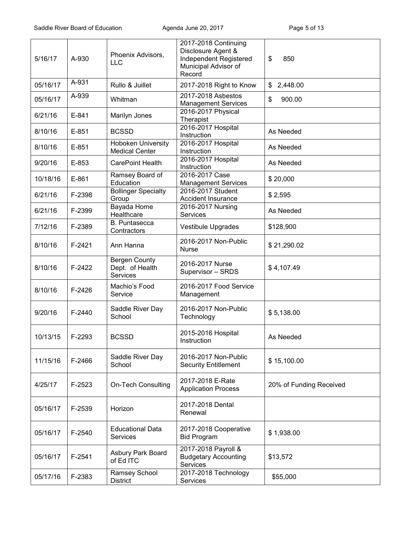| 5/16/17  | A-930    | Phoenix Advisors,<br>LLC                            | 2017-2018 Continuing<br>Disclosure Agent &<br>Independent Registered<br>Municipal Advisor of<br>Record | \$<br>850               |
|----------|----------|-----------------------------------------------------|--------------------------------------------------------------------------------------------------------|-------------------------|
| 05/16/17 | A-931    | Rullo & Juillet                                     | 2017-2018 Right to Know                                                                                | 2,448.00<br>\$          |
| 05/16/17 | A-939    | Whitman                                             | 2017-2018 Asbestos<br><b>Management Services</b>                                                       | 900.00<br>\$            |
| 6/21/16  | $E-841$  | Marilyn Jones                                       | 2016-2017 Physical<br>Therapist                                                                        |                         |
| 8/10/16  | $E-851$  | <b>BCSSD</b>                                        | 2016-2017 Hospital<br>Instruction                                                                      | As Needed               |
| 8/10/16  | E-851    | <b>Hoboken University</b><br><b>Medical Center</b>  | 2016-2017 Hospital<br>Instruction                                                                      | As Needed               |
| 9/20/16  | $E-853$  | <b>CarePoint Health</b>                             | 2016-2017 Hospital<br>Instruction                                                                      | As Needed               |
| 10/18/16 | $E-861$  | Ramsey Board of<br>Education                        | 2016-2017 Case<br><b>Management Services</b>                                                           | \$20,000                |
| 6/21/16  | F-2398   | <b>Bollinger Specialty</b><br>Group                 | 2016-2017 Student<br>Accident Insurance                                                                | \$2,595                 |
| 6/21/16  | F-2399   | Bayada Home<br>Healthcare                           | 2016-2017 Nursing<br>Services                                                                          | As Needed               |
| 7/12/16  | F-2389   | B. Puntasecca<br>Contractors                        | <b>Vestibule Upgrades</b>                                                                              | \$128,900               |
| 8/10/16  | $F-2421$ | Ann Hanna                                           | 2016-2017 Non-Public<br><b>Nurse</b>                                                                   | \$21,290.02             |
| 8/10/16  | $F-2422$ | <b>Bergen County</b><br>Dept. of Health<br>Services | 2016-2017 Nurse<br>Supervisor - SRDS                                                                   | \$4,107.49              |
| 8/10/16  | F-2426   | Machio's Food<br>Service                            | 2016-2017 Food Service<br>Management                                                                   |                         |
| 9/20/16  | F-2440   | Saddle River Day<br>School                          | 2016-2017 Non-Public<br>Technology                                                                     | \$5,138.00              |
| 10/13/15 | F-2293   | <b>BCSSD</b>                                        | 2015-2016 Hospital<br>Instruction                                                                      | As Needed               |
| 11/15/16 | F-2466   | Saddle River Day<br>School                          | 2016-2017 Non-Public<br><b>Security Entitlement</b>                                                    | \$15,100.00             |
| 4/25/17  | F-2523   | <b>On-Tech Consulting</b>                           | 2017-2018 E-Rate<br><b>Application Process</b>                                                         | 20% of Funding Received |
| 05/16/17 | F-2539   | Horizon                                             | 2017-2018 Dental<br>Renewal                                                                            |                         |
| 05/16/17 | F-2540   | <b>Educational Data</b><br><b>Services</b>          | 2017-2018 Cooperative<br><b>Bid Program</b>                                                            | \$1,938.00              |
| 05/16/17 | F-2541   | Asbury Park Board<br>of Ed ITC                      | 2017-2018 Payroll &<br><b>Budgetary Accounting</b><br>Services                                         | \$13,572                |
| 05/17/16 | F-2383   | Ramsey School<br><b>District</b>                    | 2017-2018 Technology<br>Services                                                                       | \$55,000                |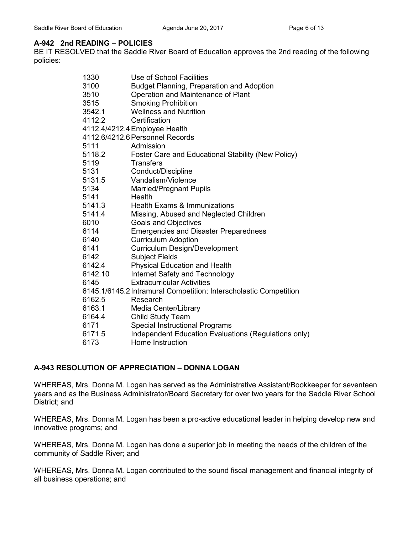# **A-942 2nd READING – POLICIES**

BE IT RESOLVED that the Saddle River Board of Education approves the 2nd reading of the following policies:

| 1330    | Use of School Facilities                                          |
|---------|-------------------------------------------------------------------|
| 3100    | Budget Planning, Preparation and Adoption                         |
| 3510    | Operation and Maintenance of Plant                                |
| 3515    | <b>Smoking Prohibition</b>                                        |
| 3542.1  | <b>Wellness and Nutrition</b>                                     |
| 4112.2  | Certification                                                     |
|         | 4112.4/4212.4 Employee Health                                     |
|         | 4112.6/4212.6 Personnel Records                                   |
| 5111    | Admission                                                         |
| 5118.2  | Foster Care and Educational Stability (New Policy)                |
| 5119    | <b>Transfers</b>                                                  |
| 5131    | Conduct/Discipline                                                |
| 5131.5  | Vandalism/Violence                                                |
| 5134    | <b>Married/Pregnant Pupils</b>                                    |
| 5141    | Health                                                            |
| 5141.3  | <b>Health Exams &amp; Immunizations</b>                           |
| 5141.4  | Missing, Abused and Neglected Children                            |
| 6010    | <b>Goals and Objectives</b>                                       |
| 6114    | <b>Emergencies and Disaster Preparedness</b>                      |
| 6140    | <b>Curriculum Adoption</b>                                        |
| 6141    | Curriculum Design/Development                                     |
| 6142    | <b>Subject Fields</b>                                             |
| 6142.4  | Physical Education and Health                                     |
| 6142.10 | Internet Safety and Technology                                    |
| 6145    | <b>Extracurricular Activities</b>                                 |
|         | 6145.1/6145.2 Intramural Competition; Interscholastic Competition |
| 6162.5  | Research                                                          |
| 6163.1  | Media Center/Library                                              |
| 6164.4  | <b>Child Study Team</b>                                           |
| 6171    | <b>Special Instructional Programs</b>                             |
| 6171.5  | Independent Education Evaluations (Regulations only)              |
| 6173    | Home Instruction                                                  |
|         |                                                                   |

# **A-943 RESOLUTION OF APPRECIATION – DONNA LOGAN**

WHEREAS, Mrs. Donna M. Logan has served as the Administrative Assistant/Bookkeeper for seventeen years and as the Business Administrator/Board Secretary for over two years for the Saddle River School District; and

WHEREAS, Mrs. Donna M. Logan has been a pro-active educational leader in helping develop new and innovative programs; and

WHEREAS, Mrs. Donna M. Logan has done a superior job in meeting the needs of the children of the community of Saddle River; and

WHEREAS, Mrs. Donna M. Logan contributed to the sound fiscal management and financial integrity of all business operations; and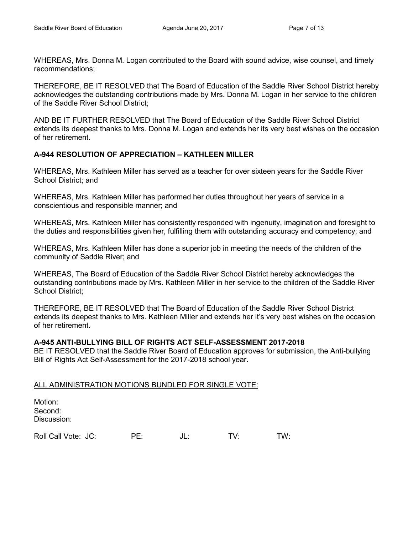WHEREAS, Mrs. Donna M. Logan contributed to the Board with sound advice, wise counsel, and timely recommendations;

THEREFORE, BE IT RESOLVED that The Board of Education of the Saddle River School District hereby acknowledges the outstanding contributions made by Mrs. Donna M. Logan in her service to the children of the Saddle River School District;

AND BE IT FURTHER RESOLVED that The Board of Education of the Saddle River School District extends its deepest thanks to Mrs. Donna M. Logan and extends her its very best wishes on the occasion of her retirement.

## **A-944 RESOLUTION OF APPRECIATION – KATHLEEN MILLER**

WHEREAS, Mrs. Kathleen Miller has served as a teacher for over sixteen years for the Saddle River School District; and

WHEREAS, Mrs. Kathleen Miller has performed her duties throughout her years of service in a conscientious and responsible manner; and

WHEREAS, Mrs. Kathleen Miller has consistently responded with ingenuity, imagination and foresight to the duties and responsibilities given her, fulfilling them with outstanding accuracy and competency; and

WHEREAS, Mrs. Kathleen Miller has done a superior job in meeting the needs of the children of the community of Saddle River; and

WHEREAS, The Board of Education of the Saddle River School District hereby acknowledges the outstanding contributions made by Mrs. Kathleen Miller in her service to the children of the Saddle River School District;

THEREFORE, BE IT RESOLVED that The Board of Education of the Saddle River School District extends its deepest thanks to Mrs. Kathleen Miller and extends her it's very best wishes on the occasion of her retirement.

#### **A-945 ANTI-BULLYING BILL OF RIGHTS ACT SELF-ASSESSMENT 2017-2018**

BE IT RESOLVED that the Saddle River Board of Education approves for submission, the Anti-bullying Bill of Rights Act Self-Assessment for the 2017-2018 school year.

#### ALL ADMINISTRATION MOTIONS BUNDLED FOR SINGLE VOTE:

| Motion:<br>Second:<br>Discussion: |     |     |     |     |
|-----------------------------------|-----|-----|-----|-----|
| Roll Call Vote: JC:               | PF∙ | JL: | TV. | TW: |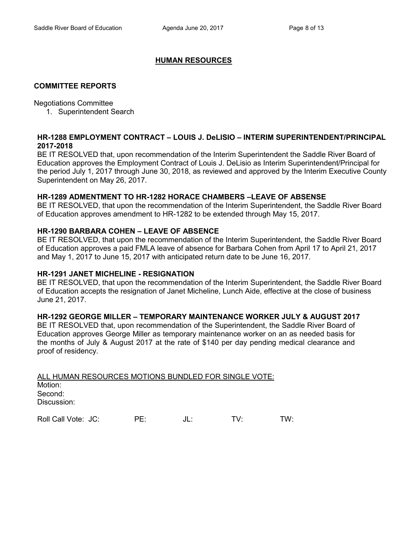## **HUMAN RESOURCES**

### **COMMITTEE REPORTS**

#### Negotiations Committee

1. Superintendent Search

## **HR-1288 EMPLOYMENT CONTRACT – LOUIS J. DeLISIO – INTERIM SUPERINTENDENT/PRINCIPAL 2017-2018**

BE IT RESOLVED that, upon recommendation of the Interim Superintendent the Saddle River Board of Education approves the Employment Contract of Louis J. DeLisio as Interim Superintendent/Principal for the period July 1, 2017 through June 30, 2018, as reviewed and approved by the Interim Executive County Superintendent on May 26, 2017.

## **HR-1289 ADMENTMENT TO HR-1282 HORACE CHAMBERS –LEAVE OF ABSENSE**

BE IT RESOLVED, that upon the recommendation of the Interim Superintendent, the Saddle River Board of Education approves amendment to HR-1282 to be extended through May 15, 2017.

## **HR-1290 BARBARA COHEN – LEAVE OF ABSENCE**

BE IT RESOLVED, that upon the recommendation of the Interim Superintendent, the Saddle River Board of Education approves a paid FMLA leave of absence for Barbara Cohen from April 17 to April 21, 2017 and May 1, 2017 to June 15, 2017 with anticipated return date to be June 16, 2017.

#### **HR-1291 JANET MICHELINE - RESIGNATION**

BE IT RESOLVED, that upon the recommendation of the Interim Superintendent, the Saddle River Board of Education accepts the resignation of Janet Micheline, Lunch Aide, effective at the close of business June 21, 2017.

## **HR-1292 GEORGE MILLER – TEMPORARY MAINTENANCE WORKER JULY & AUGUST 2017**

BE IT RESOLVED that, upon recommendation of the Superintendent, the Saddle River Board of Education approves George Miller as temporary maintenance worker on an as needed basis for the months of July & August 2017 at the rate of \$140 per day pending medical clearance and proof of residency.

| ALL HUMAN RESOURCES MOTIONS BUNDLED FOR SINGLE VOTE: |  |
|------------------------------------------------------|--|
| Motion:                                              |  |
| Second:                                              |  |
| Discussion:                                          |  |
|                                                      |  |

Roll Call Vote: JC: PE: JL: TV: TW: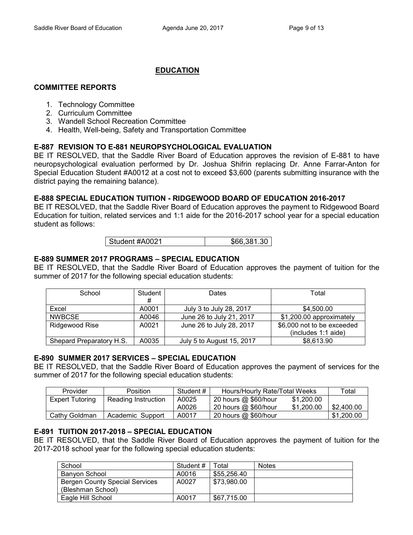# **EDUCATION**

# **COMMITTEE REPORTS**

- 1. Technology Committee
- 2. Curriculum Committee
- 3. Wandell School Recreation Committee
- 4. Health, Well-being, Safety and Transportation Committee

# **E-887 REVISION TO E-881 NEUROPSYCHOLOGICAL EVALUATION**

BE IT RESOLVED, that the Saddle River Board of Education approves the revision of E-881 to have neuropsychological evaluation performed by Dr. Joshua Shifrin replacing Dr. Anne Farrar-Anton for Special Education Student #A0012 at a cost not to exceed \$3,600 (parents submitting insurance with the district paying the remaining balance).

# **E-888 SPECIAL EDUCATION TUITION - RIDGEWOOD BOARD OF EDUCATION 2016-2017**

BE IT RESOLVED, that the Saddle River Board of Education approves the payment to Ridgewood Board Education for tuition, related services and 1:1 aide for the 2016-2017 school year for a special education student as follows:

| Student #A0021 | \$66,381.30 |
|----------------|-------------|
|----------------|-------------|

## **E-889 SUMMER 2017 PROGRAMS – SPECIAL EDUCATION**

BE IT RESOLVED, that the Saddle River Board of Education approves the payment of tuition for the summer of 2017 for the following special education students:

| School                   | Student | Dates                     | Total                      |
|--------------------------|---------|---------------------------|----------------------------|
|                          | #       |                           |                            |
| Excel                    | A0001   | July 3 to July 28, 2017   | \$4,500.00                 |
| <b>NWBCSE</b>            | A0046   | June 26 to July 21, 2017  | \$1,200.00 approximately   |
| Ridgewood Rise           | A0021   | June 26 to July 28, 2017  | \$6,000 not to be exceeded |
|                          |         |                           | (includes 1:1 aide)        |
| Shepard Preparatory H.S. | A0035   | July 5 to August 15, 2017 | \$8,613.90                 |

## **E-890 SUMMER 2017 SERVICES – SPECIAL EDUCATION**

BE IT RESOLVED, that the Saddle River Board of Education approves the payment of services for the summer of 2017 for the following special education students:

| Provider               | <b>Position</b>     | Student # | Hours/Hourly Rate/Total Weeks |            | ⊤otal      |
|------------------------|---------------------|-----------|-------------------------------|------------|------------|
| <b>Expert Tutoring</b> | Reading Instruction | A0025     | 20 hours @ \$60/hour          | \$1,200,00 |            |
|                        |                     | A0026     | 20 hours @ \$60/hour          | \$1,200,00 | \$2,400.00 |
| Cathy Goldman          | Academic Support    | A0017     | 20 hours @ \$60/hour          |            | \$1,200.00 |

## **E-891 TUITION 2017-2018 – SPECIAL EDUCATION**

BE IT RESOLVED, that the Saddle River Board of Education approves the payment of tuition for the 2017-2018 school year for the following special education students:

| School                                | Student # | ™otal       | <b>Notes</b> |
|---------------------------------------|-----------|-------------|--------------|
| Banyon School                         | A0016     | \$55,256,40 |              |
| <b>Bergen County Special Services</b> | A0027     | \$73.980.00 |              |
| (Bleshman School)                     |           |             |              |
| Eagle Hill School                     | A0017     | \$67.715.00 |              |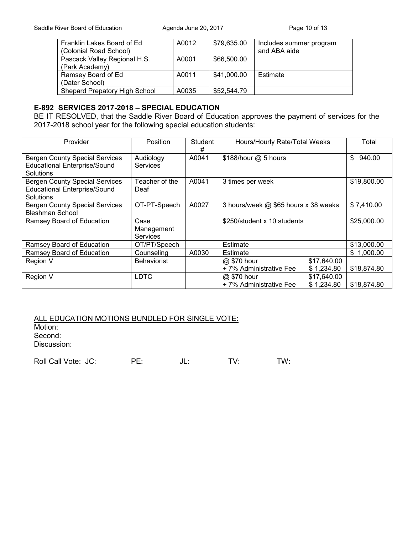| Franklin Lakes Board of Ed    | A0012 | \$79,635.00 | Includes summer program |
|-------------------------------|-------|-------------|-------------------------|
| (Colonial Road School)        |       |             | and ABA aide            |
| Pascack Valley Regional H.S.  | A0001 | \$66,500.00 |                         |
| (Park Academy)                |       |             |                         |
| Ramsey Board of Ed            | A0011 | \$41,000.00 | Estimate                |
| (Dater School)                |       |             |                         |
| Shepard Prepatory High School | A0035 | \$52,544.79 |                         |

## **E-892 SERVICES 2017-2018 – SPECIAL EDUCATION**

BE IT RESOLVED, that the Saddle River Board of Education approves the payment of services for the 2017-2018 school year for the following special education students:

| Provider                                                                                  | Position                              | Student<br># | Hours/Hourly Rate/Total Weeks         |                           | Total          |
|-------------------------------------------------------------------------------------------|---------------------------------------|--------------|---------------------------------------|---------------------------|----------------|
| <b>Bergen County Special Services</b><br><b>Educational Enterprise/Sound</b><br>Solutions | Audiology<br><b>Services</b>          | A0041        | \$188/hour @ 5 hours                  |                           | \$<br>940.00   |
| <b>Bergen County Special Services</b><br><b>Educational Enterprise/Sound</b><br>Solutions | Teacher of the<br>Deaf                | A0041        | 3 times per week                      |                           | \$19,800.00    |
| <b>Bergen County Special Services</b><br><b>Bleshman School</b>                           | OT-PT-Speech                          | A0027        | 3 hours/week @ \$65 hours x 38 weeks  |                           | \$7,410.00     |
| Ramsey Board of Education                                                                 | Case<br>Management<br><b>Services</b> |              | \$250/student x 10 students           |                           | \$25,000.00    |
| Ramsey Board of Education                                                                 | OT/PT/Speech                          |              | Estimate                              |                           | \$13,000.00    |
| Ramsey Board of Education                                                                 | Counseling                            | A0030        | Estimate                              |                           | 1,000.00<br>\$ |
| Region V                                                                                  | <b>Behaviorist</b>                    |              | @ \$70 hour<br>+7% Administrative Fee | \$17,640.00<br>\$1,234.80 | \$18,874.80    |
| Region V                                                                                  | <b>LDTC</b>                           |              | @ \$70 hour<br>+7% Administrative Fee | \$17,640.00<br>\$1,234.80 | \$18,874.80    |

ALL EDUCATION MOTIONS BUNDLED FOR SINGLE VOTE:

Motion:

Second:

Discussion:

Roll Call Vote: JC: PE: JL: TV: TW: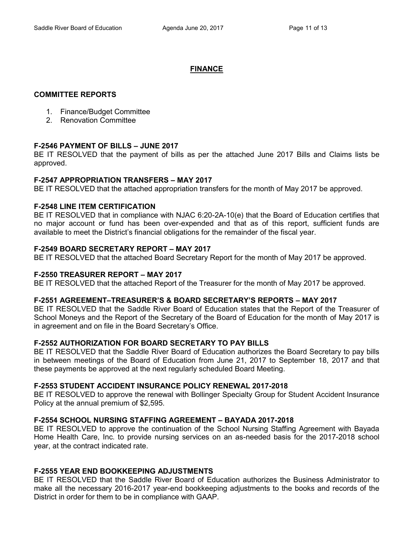# **FINANCE**

## **COMMITTEE REPORTS**

- 1. Finance/Budget Committee
- 2. Renovation Committee

# **F-2546 PAYMENT OF BILLS – JUNE 2017**

BE IT RESOLVED that the payment of bills as per the attached June 2017 Bills and Claims lists be approved.

## **F-2547 APPROPRIATION TRANSFERS – MAY 2017**

BE IT RESOLVED that the attached appropriation transfers for the month of May 2017 be approved.

# **F-2548 LINE ITEM CERTIFICATION**

BE IT RESOLVED that in compliance with NJAC 6:20-2A-10(e) that the Board of Education certifies that no major account or fund has been over-expended and that as of this report, sufficient funds are available to meet the District's financial obligations for the remainder of the fiscal year.

# **F-2549 BOARD SECRETARY REPORT – MAY 2017**

BE IT RESOLVED that the attached Board Secretary Report for the month of May 2017 be approved.

## **F-2550 TREASURER REPORT – MAY 2017**

BE IT RESOLVED that the attached Report of the Treasurer for the month of May 2017 be approved.

## **F-2551 AGREEMENT–TREASURER'S & BOARD SECRETARY'S REPORTS – MAY 2017**

BE IT RESOLVED that the Saddle River Board of Education states that the Report of the Treasurer of School Moneys and the Report of the Secretary of the Board of Education for the month of May 2017 is in agreement and on file in the Board Secretary's Office.

## **F-2552 AUTHORIZATION FOR BOARD SECRETARY TO PAY BILLS**

BE IT RESOLVED that the Saddle River Board of Education authorizes the Board Secretary to pay bills in between meetings of the Board of Education from June 21, 2017 to September 18, 2017 and that these payments be approved at the next regularly scheduled Board Meeting.

## **F-2553 STUDENT ACCIDENT INSURANCE POLICY RENEWAL 2017-2018**

BE IT RESOLVED to approve the renewal with Bollinger Specialty Group for Student Accident Insurance Policy at the annual premium of \$2,595.

# **F-2554 SCHOOL NURSING STAFFING AGREEMENT – BAYADA 2017-2018**

BE IT RESOLVED to approve the continuation of the School Nursing Staffing Agreement with Bayada Home Health Care, Inc. to provide nursing services on an as-needed basis for the 2017-2018 school year, at the contract indicated rate.

# **F-2555 YEAR END BOOKKEEPING ADJUSTMENTS**

BE IT RESOLVED that the Saddle River Board of Education authorizes the Business Administrator to make all the necessary 2016-2017 year-end bookkeeping adjustments to the books and records of the District in order for them to be in compliance with GAAP.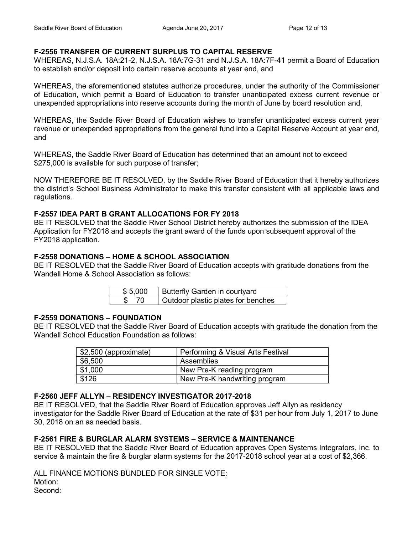# **F-2556 TRANSFER OF CURRENT SURPLUS TO CAPITAL RESERVE**

WHEREAS, N.J.S.A. 18A:21-2, N.J.S.A. 18A:7G-31 and N.J.S.A. 18A:7F-41 permit a Board of Education to establish and/or deposit into certain reserve accounts at year end, and

WHEREAS, the aforementioned statutes authorize procedures, under the authority of the Commissioner of Education, which permit a Board of Education to transfer unanticipated excess current revenue or unexpended appropriations into reserve accounts during the month of June by board resolution and,

WHEREAS, the Saddle River Board of Education wishes to transfer unanticipated excess current year revenue or unexpended appropriations from the general fund into a Capital Reserve Account at year end, and

WHEREAS, the Saddle River Board of Education has determined that an amount not to exceed \$275,000 is available for such purpose of transfer;

NOW THEREFORE BE IT RESOLVED, by the Saddle River Board of Education that it hereby authorizes the district's School Business Administrator to make this transfer consistent with all applicable laws and regulations.

## **F-2557 IDEA PART B GRANT ALLOCATIONS FOR FY 2018**

BE IT RESOLVED that the Saddle River School District hereby authorizes the submission of the IDEA Application for FY2018 and accepts the grant award of the funds upon subsequent approval of the FY2018 application.

## **F-2558 DONATIONS – HOME & SCHOOL ASSOCIATION**

BE IT RESOLVED that the Saddle River Board of Education accepts with gratitude donations from the Wandell Home & School Association as follows:

| \$5,000 | Butterfly Garden in courtyard      |
|---------|------------------------------------|
|         | Outdoor plastic plates for benches |

## **F-2559 DONATIONS – FOUNDATION**

BE IT RESOLVED that the Saddle River Board of Education accepts with gratitude the donation from the Wandell School Education Foundation as follows:

| \$2,500 (approximate) | Performing & Visual Arts Festival |
|-----------------------|-----------------------------------|
| \$6,500               | Assemblies                        |
| \$1,000               | New Pre-K reading program         |
| \$126                 | New Pre-K handwriting program     |

## **F-2560 JEFF ALLYN – RESIDENCY INVESTIGATOR 2017-2018**

BE IT RESOLVED, that the Saddle River Board of Education approves Jeff Allyn as residency investigator for the Saddle River Board of Education at the rate of \$31 per hour from July 1, 2017 to June 30, 2018 on an as needed basis.

## **F-2561 FIRE & BURGLAR ALARM SYSTEMS – SERVICE & MAINTENANCE**

BE IT RESOLVED that the Saddle River Board of Education approves Open Systems Integrators, Inc. to service & maintain the fire & burglar alarm systems for the 2017-2018 school year at a cost of \$2,366.

## ALL FINANCE MOTIONS BUNDLED FOR SINGLE VOTE:

Motion:

Second: